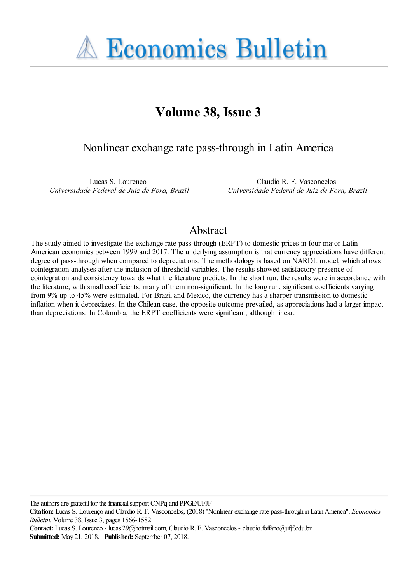**A Economics Bulletin** 

# **Volume 38, Issue 3**

Nonlinear exchange rate pass-through in Latin America

Lucas S. Lourenço *Universidade Federal de Juiz de Fora, Brazil*

Claudio R. F. Vasconcelos *Universidade Federal de Juiz de Fora, Brazil*

# Abstract

The study aimed to investigate the exchange rate pass-through (ERPT) to domestic prices in four major Latin American economies between 1999 and 2017. The underlying assumption is that currency appreciations have different degree of pass-through when compared to depreciations. The methodology is based on NARDL model, which allows cointegration analyses after the inclusion of threshold variables. The results showed satisfactory presence of cointegration and consistency towards what the literature predicts. In the short run, the results were in accordance with the literature, with small coefficients, many of them non-significant. In the long run, significant coefficients varying from 9% up to 45% were estimated. For Brazil and Mexico, the currency has a sharper transmission to domestic inflation when it depreciates. In the Chilean case, the opposite outcome prevailed, as appreciations had a larger impact than depreciations. In Colombia, the ERPT coefficients were significant, although linear.

The authors are grateful for the financial support CNPq and PPGE/UFJF

**Citation:** Lucas S. Lourenço and Claudio R. F. Vasconcelos, (2018) ''Nonlinear exchange rate pass-through in Latin America'', *Economics Bulletin*, Volume 38, Issue 3, pages 1566-1582

**Contact:** Lucas S. Lourenço - lucasl29@hotmail.com, Claudio R. F. Vasconcelos - claudio.foffano@ufjf.edu.br. **Submitted:** May 21, 2018. **Published:** September 07, 2018.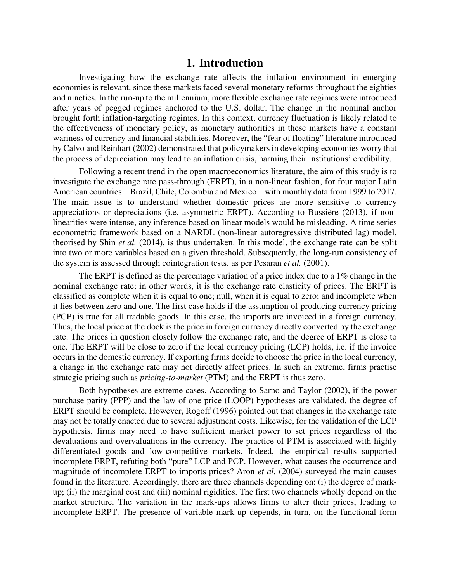### **1. Introduction**

Investigating how the exchange rate affects the inflation environment in emerging economies is relevant, since these markets faced several monetary reforms throughout the eighties and nineties. In the run-up to the millennium, more flexible exchange rate regimes were introduced after years of pegged regimes anchored to the U.S. dollar. The change in the nominal anchor brought forth inflation-targeting regimes. In this context, currency fluctuation is likely related to the effectiveness of monetary policy, as monetary authorities in these markets have a constant wariness of currency and financial stabilities. Moreover, the "fear of floating" literature introduced by Calvo and Reinhart (2002) demonstrated that policymakers in developing economies worry that the process of depreciation may lead to an inflation crisis, harming their institutions' credibility.

Following a recent trend in the open macroeconomics literature, the aim of this study is to investigate the exchange rate pass-through (ERPT), in a non-linear fashion, for four major Latin American countries – Brazil, Chile, Colombia and Mexico – with monthly data from 1999 to 2017. The main issue is to understand whether domestic prices are more sensitive to currency appreciations or depreciations (i.e. asymmetric ERPT). According to Bussière (2013), if nonlinearities were intense, any inference based on linear models would be misleading. A time series econometric framework based on a NARDL (non-linear autoregressive distributed lag) model, theorised by Shin *et al.* (2014), is thus undertaken. In this model, the exchange rate can be split into two or more variables based on a given threshold. Subsequently, the long-run consistency of the system is assessed through cointegration tests, as per Pesaran *et al.* (2001).

The ERPT is defined as the percentage variation of a price index due to a 1% change in the nominal exchange rate; in other words, it is the exchange rate elasticity of prices. The ERPT is classified as complete when it is equal to one; null, when it is equal to zero; and incomplete when it lies between zero and one. The first case holds if the assumption of producing currency pricing (PCP) is true for all tradable goods. In this case, the imports are invoiced in a foreign currency. Thus, the local price at the dock is the price in foreign currency directly converted by the exchange rate. The prices in question closely follow the exchange rate, and the degree of ERPT is close to one. The ERPT will be close to zero if the local currency pricing (LCP) holds, i.e. if the invoice occurs in the domestic currency. If exporting firms decide to choose the price in the local currency, a change in the exchange rate may not directly affect prices. In such an extreme, firms practise strategic pricing such as *pricing-to-market* (PTM) and the ERPT is thus zero.

Both hypotheses are extreme cases. According to Sarno and Taylor (2002), if the power purchase parity (PPP) and the law of one price (LOOP) hypotheses are validated, the degree of ERPT should be complete. However, Rogoff (1996) pointed out that changes in the exchange rate may not be totally enacted due to several adjustment costs. Likewise, for the validation of the LCP hypothesis, firms may need to have sufficient market power to set prices regardless of the devaluations and overvaluations in the currency. The practice of PTM is associated with highly differentiated goods and low-competitive markets. Indeed, the empirical results supported incomplete ERPT, refuting both "pure" LCP and PCP. However, what causes the occurrence and magnitude of incomplete ERPT to imports prices? Aron *et al.* (2004) surveyed the main causes found in the literature. Accordingly, there are three channels depending on: (i) the degree of markup; (ii) the marginal cost and (iii) nominal rigidities. The first two channels wholly depend on the market structure. The variation in the mark-ups allows firms to alter their prices, leading to incomplete ERPT. The presence of variable mark-up depends, in turn, on the functional form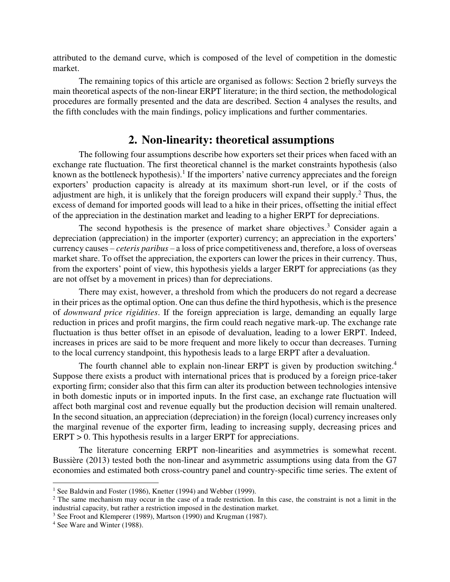attributed to the demand curve, which is composed of the level of competition in the domestic market.

The remaining topics of this article are organised as follows: Section 2 briefly surveys the main theoretical aspects of the non-linear ERPT literature; in the third section, the methodological procedures are formally presented and the data are described. Section 4 analyses the results, and the fifth concludes with the main findings, policy implications and further commentaries.

## **2. Non-linearity: theoretical assumptions**

The following four assumptions describe how exporters set their prices when faced with an exchange rate fluctuation. The first theoretical channel is the market constraints hypothesis (also known as the bottleneck hypothesis).<sup>1</sup> If the importers' native currency appreciates and the foreign exporters' production capacity is already at its maximum short-run level, or if the costs of adjustment are high, it is unlikely that the foreign producers will expand their supply.<sup>2</sup> Thus, the excess of demand for imported goods will lead to a hike in their prices, offsetting the initial effect of the appreciation in the destination market and leading to a higher ERPT for depreciations.

The second hypothesis is the presence of market share objectives.<sup>3</sup> Consider again a depreciation (appreciation) in the importer (exporter) currency; an appreciation in the exporters' currency causes – *ceteris paribus* – a loss of price competitiveness and, therefore, a loss of overseas market share. To offset the appreciation, the exporters can lower the prices in their currency. Thus, from the exporters' point of view, this hypothesis yields a larger ERPT for appreciations (as they are not offset by a movement in prices) than for depreciations.

There may exist, however, a threshold from which the producers do not regard a decrease in their prices as the optimal option. One can thus define the third hypothesis, which is the presence of *downward price rigidities*. If the foreign appreciation is large, demanding an equally large reduction in prices and profit margins, the firm could reach negative mark-up. The exchange rate fluctuation is thus better offset in an episode of devaluation, leading to a lower ERPT. Indeed, increases in prices are said to be more frequent and more likely to occur than decreases. Turning to the local currency standpoint, this hypothesis leads to a large ERPT after a devaluation.

The fourth channel able to explain non-linear ERPT is given by production switching.<sup>4</sup> Suppose there exists a product with international prices that is produced by a foreign price-taker exporting firm; consider also that this firm can alter its production between technologies intensive in both domestic inputs or in imported inputs. In the first case, an exchange rate fluctuation will affect both marginal cost and revenue equally but the production decision will remain unaltered. In the second situation, an appreciation (depreciation) in the foreign (local) currency increases only the marginal revenue of the exporter firm, leading to increasing supply, decreasing prices and ERPT > 0. This hypothesis results in a larger ERPT for appreciations.

The literature concerning ERPT non-linearities and asymmetries is somewhat recent. Bussière (2013) tested both the non-linear and asymmetric assumptions using data from the G7 economies and estimated both cross-country panel and country-specific time series. The extent of

 $\overline{a}$ 

<sup>&</sup>lt;sup>1</sup> See Baldwin and Foster (1986), Knetter (1994) and Webber (1999).

 $2^2$  The same mechanism may occur in the case of a trade restriction. In this case, the constraint is not a limit in the industrial capacity, but rather a restriction imposed in the destination market.

<sup>&</sup>lt;sup>3</sup> See Froot and Klemperer (1989), Martson (1990) and Krugman (1987).

<sup>4</sup> See Ware and Winter (1988).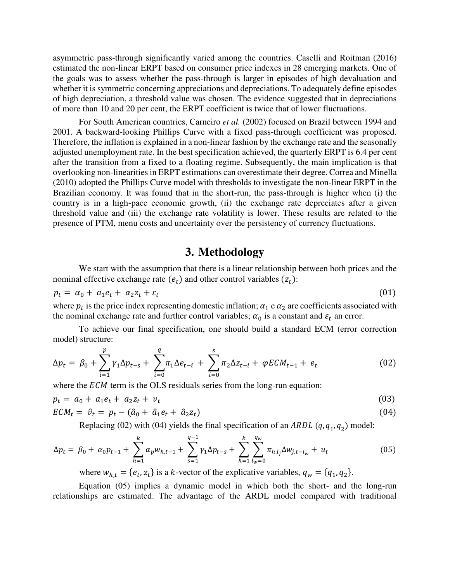asymmetric pass-through significantly varied among the countries. Caselli and Roitman (2016) estimated the non-linear ERPT based on consumer price indexes in 28 emerging markets. One of the goals was to assess whether the pass-through is larger in episodes of high devaluation and whether it is symmetric concerning appreciations and depreciations. To adequately define episodes of high depreciation, a threshold value was chosen. The evidence suggested that in depreciations of more than 10 and 20 per cent, the ERPT coefficient is twice that of lower fluctuations.

For South American countries, Carneiro *et al.* (2002) focused on Brazil between 1994 and 2001. A backward-looking Phillips Curve with a fixed pass-through coefficient was proposed. Therefore, the inflation is explained in a non-linear fashion by the exchange rate and the seasonally adjusted unemployment rate. In the best specification achieved, the quarterly ERPT is 6.4 per cent after the transition from a fixed to a floating regime. Subsequently, the main implication is that overlooking non-linearities in ERPT estimations can overestimate their degree. Correa and Minella (2010) adopted the Phillips Curve model with thresholds to investigate the non-linear ERPT in the Brazilian economy. It was found that in the short-run, the pass-through is higher when (i) the country is in a high-pace economic growth, (ii) the exchange rate depreciates after a given threshold value and (iii) the exchange rate volatility is lower. These results are related to the presence of PTM, menu costs and uncertainty over the persistency of currency fluctuations.

## **3. Methodology**

We start with the assumption that there is a linear relationship between both prices and the nominal effective exchange rate  $(e_t)$  and other control variables  $(z_t)$ :

$$
p_t = \alpha_0 + a_1 e_t + a_2 z_t + \varepsilon_t \tag{01}
$$

where  $p_t$  is the price index representing domestic inflation;  $\alpha_1$  e  $\alpha_2$  are coefficients associated with the nominal exchange rate and further control variables;  $\alpha_0$  is a constant and  $\varepsilon_t$  an error.

To achieve our final specification, one should build a standard ECM (error correction model) structure:

$$
\Delta p_t = \beta_0 + \sum_{i=1}^p \gamma_1 \Delta p_{t-s} + \sum_{i=0}^q \pi_1 \Delta e_{t-i} + \sum_{i=0}^s \pi_2 \Delta z_{t-i} + \varphi E C M_{t-1} + e_t \tag{02}
$$

where the  $ECM$  term is the OLS residuals series from the long-run equation:

$$
p_t = a_0 + a_1 e_t + a_2 z_t + v_t \tag{03}
$$

$$
ECM_t = \hat{v}_t = p_t - (\hat{a}_0 + \hat{a}_1 e_t + \hat{a}_2 z_t)
$$
\n(04)

Replacing (02) with (04) yields the final specification of an *ARDL*  $(q, q_1, q_2)$  model:

$$
\Delta p_t = \beta_0 + \alpha_0 p_{t-1} + \sum_{h=1}^k \alpha_p w_{h,t-1} + \sum_{s=1}^{q-1} \gamma_1 \Delta p_{t-s} + \sum_{h=1}^k \sum_{l_w=0}^{q_w} \pi_{h,l_j} \Delta w_{j,t-l_w} + u_t
$$
(05)

where  $w_{h,t} = \{e_t, z_t\}$  is a k-vector of the explicative variables,  $q_w = \{q_1, q_2\}$ .

Equation (05) implies a dynamic model in which both the short- and the long-run relationships are estimated. The advantage of the ARDL model compared with traditional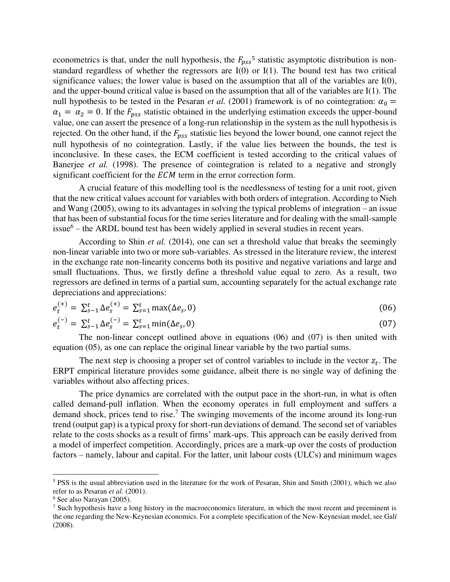econometrics is that, under the null hypothesis, the  $F_{pss}$ <sup>5</sup> statistic asymptotic distribution is nonstandard regardless of whether the regressors are  $I(0)$  or  $I(1)$ . The bound test has two critical significance values; the lower value is based on the assumption that all of the variables are I(0), and the upper-bound critical value is based on the assumption that all of the variables are I(1). The null hypothesis to be tested in the Pesaran *et al.* (2001) framework is of no cointegration:  $\alpha_0$  =  $\alpha_1 = \alpha_2 = 0$ . If the  $F_{pss}$  statistic obtained in the underlying estimation exceeds the upper-bound value, one can assert the presence of a long-run relationship in the system as the null hypothesis is rejected. On the other hand, if the  $F_{\text{DSS}}$  statistic lies beyond the lower bound, one cannot reject the null hypothesis of no cointegration. Lastly, if the value lies between the bounds, the test is inconclusive. In these cases, the ECM coefficient is tested according to the critical values of Banerjee *et al.* (1998). The presence of cointegration is related to a negative and strongly significant coefficient for the *ECM* term in the error correction form.

A crucial feature of this modelling tool is the needlessness of testing for a unit root, given that the new critical values account for variables with both orders of integration. According to Nieh and Wang (2005), owing to its advantages in solving the typical problems of integration – an issue that has been of substantial focus for the time series literature and for dealing with the small-sample issue $6$  – the ARDL bound test has been widely applied in several studies in recent years.

According to Shin *et al.* (2014), one can set a threshold value that breaks the seemingly non-linear variable into two or more sub-variables. As stressed in the literature review, the interest in the exchange rate non-linearity concerns both its positive and negative variations and large and small fluctuations. Thus, we firstly define a threshold value equal to zero. As a result, two regressors are defined in terms of a partial sum, accounting separately for the actual exchange rate depreciations and appreciations:

$$
e_t^{(+)} = \sum_{s=1}^t \Delta e_s^{(+)} = \sum_{s=1}^t \max(\Delta e_s, 0)
$$
\n(06)

$$
e_t^{(-)} = \sum_{s=1}^t \Delta e_s^{(-)} = \sum_{s=1}^t \min(\Delta e_s, 0)
$$
 (07)

The non-linear concept outlined above in equations (06) and (07) is then united with equation (05), as one can replace the original linear variable by the two partial sums.

The next step is choosing a proper set of control variables to include in the vector  $z_t$ . The ERPT empirical literature provides some guidance, albeit there is no single way of defining the variables without also affecting prices.

 The price dynamics are correlated with the output pace in the short-run, in what is often called demand-pull inflation. When the economy operates in full employment and suffers a demand shock, prices tend to rise.<sup>7</sup> The swinging movements of the income around its long-run trend (output gap) is a typical proxy for short-run deviations of demand. The second set of variables relate to the costs shocks as a result of firms' mark-ups. This approach can be easily derived from a model of imperfect competition. Accordingly, prices are a mark-up over the costs of production factors – namely, labour and capital. For the latter, unit labour costs (ULCs) and minimum wages

 $\overline{a}$ 

<sup>&</sup>lt;sup>5</sup> PSS is the usual abbreviation used in the literature for the work of Pesaran, Shin and Smith (2001), which we also refer to as Pesaran *et al.* (2001).

<sup>6</sup> See also Narayan (2005).

<sup>&</sup>lt;sup>7</sup> Such hypothesis have a long history in the macroeconomics literature, in which the most recent and preeminent is the one regarding the New-Keynesian economics. For a complete specification of the New-Keynesian model, see Galí (2008).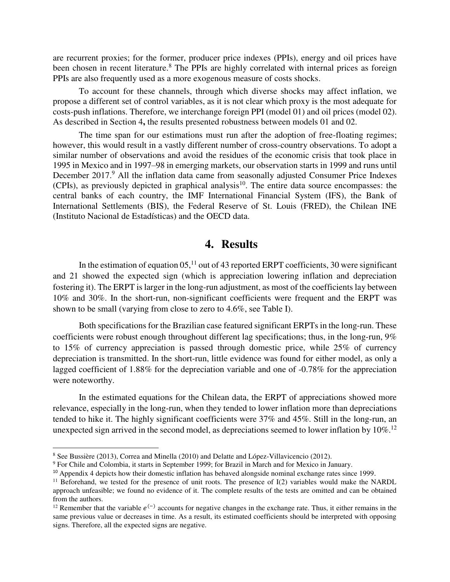are recurrent proxies; for the former, producer price indexes (PPIs), energy and oil prices have been chosen in recent literature.<sup>8</sup> The PPIs are highly correlated with internal prices as foreign PPIs are also frequently used as a more exogenous measure of costs shocks.

To account for these channels, through which diverse shocks may affect inflation, we propose a different set of control variables, as it is not clear which proxy is the most adequate for costs-push inflations. Therefore, we interchange foreign PPI (model 01) and oil prices (model 02). As described in Section 4**,** the results presented robustness between models 01 and 02.

The time span for our estimations must run after the adoption of free-floating regimes; however, this would result in a vastly different number of cross-country observations. To adopt a similar number of observations and avoid the residues of the economic crisis that took place in 1995 in Mexico and in 1997–98 in emerging markets, our observation starts in 1999 and runs until December 2017.<sup>9</sup> All the inflation data came from seasonally adjusted Consumer Price Indexes  $(CPIs)$ , as previously depicted in graphical analysis<sup>10</sup>. The entire data source encompasses: the central banks of each country, the IMF International Financial System (IFS), the Bank of International Settlements (BIS), the Federal Reserve of St. Louis (FRED), the Chilean INE (Instituto Nacional de Estadísticas) and the OECD data.

#### **4. Results**

In the estimation of equation  $05$ ,  $11$  out of 43 reported ERPT coefficients, 30 were significant and 21 showed the expected sign (which is appreciation lowering inflation and depreciation fostering it). The ERPT is larger in the long-run adjustment, as most of the coefficients lay between 10% and 30%. In the short-run, non-significant coefficients were frequent and the ERPT was shown to be small (varying from close to zero to 4.6%, see Table I).

Both specifications for the Brazilian case featured significant ERPTs in the long-run. These coefficients were robust enough throughout different lag specifications; thus, in the long-run, 9% to 15% of currency appreciation is passed through domestic price, while 25% of currency depreciation is transmitted. In the short-run, little evidence was found for either model, as only a lagged coefficient of 1.88% for the depreciation variable and one of -0.78% for the appreciation were noteworthy.

In the estimated equations for the Chilean data, the ERPT of appreciations showed more relevance, especially in the long-run, when they tended to lower inflation more than depreciations tended to hike it. The highly significant coefficients were 37% and 45%. Still in the long-run, an unexpected sign arrived in the second model, as depreciations seemed to lower inflation by 10%.<sup>12</sup>

 $\overline{a}$ 

<sup>8</sup> See Bussière (2013), Correa and Minella (2010) and Delatte and López-Villavicencio (2012).

<sup>&</sup>lt;sup>9</sup> For Chile and Colombia, it starts in September 1999; for Brazil in March and for Mexico in January.

<sup>&</sup>lt;sup>10</sup> Appendix 4 depicts how their domestic inflation has behaved alongside nominal exchange rates since 1999.

<sup>&</sup>lt;sup>11</sup> Beforehand, we tested for the presence of unit roots. The presence of I(2) variables would make the NARDL approach unfeasible; we found no evidence of it. The complete results of the tests are omitted and can be obtained from the authors.

<sup>&</sup>lt;sup>12</sup> Remember that the variable  $e^{(-)}$  accounts for negative changes in the exchange rate. Thus, it either remains in the same previous value or decreases in time. As a result, its estimated coefficients should be interpreted with opposing signs. Therefore, all the expected signs are negative.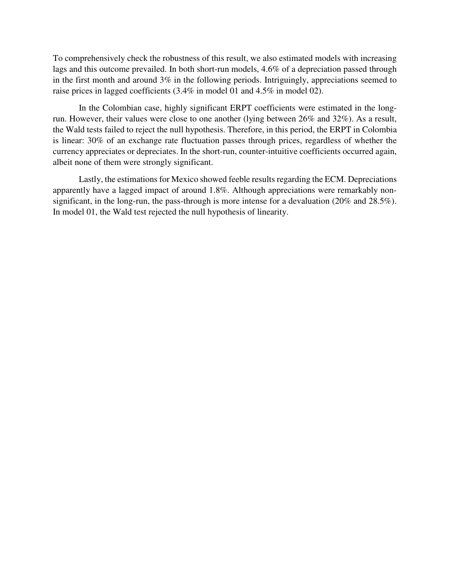To comprehensively check the robustness of this result, we also estimated models with increasing lags and this outcome prevailed. In both short-run models, 4.6% of a depreciation passed through in the first month and around 3% in the following periods. Intriguingly, appreciations seemed to raise prices in lagged coefficients (3.4% in model 01 and 4.5% in model 02).

In the Colombian case, highly significant ERPT coefficients were estimated in the longrun. However, their values were close to one another (lying between 26% and 32%). As a result, the Wald tests failed to reject the null hypothesis. Therefore, in this period, the ERPT in Colombia is linear: 30% of an exchange rate fluctuation passes through prices, regardless of whether the currency appreciates or depreciates. In the short-run, counter-intuitive coefficients occurred again, albeit none of them were strongly significant.

Lastly, the estimations for Mexico showed feeble results regarding the ECM. Depreciations apparently have a lagged impact of around 1.8%. Although appreciations were remarkably nonsignificant, in the long-run, the pass-through is more intense for a devaluation (20% and 28.5%). In model 01, the Wald test rejected the null hypothesis of linearity.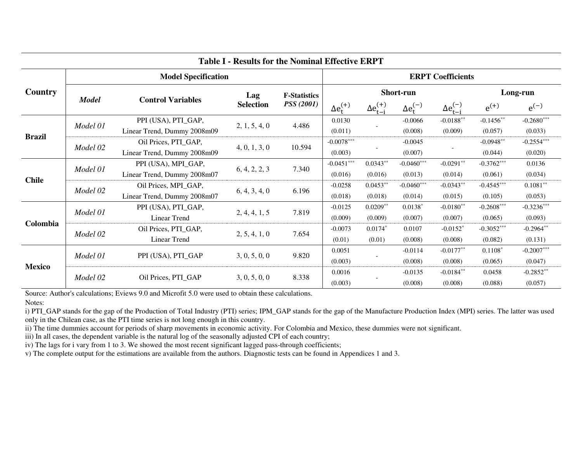| <b>Table I - Results for the Nominal Effective ERPT</b> |                            |                             |                         |                                          |                          |                        |                    |                        |              |              |
|---------------------------------------------------------|----------------------------|-----------------------------|-------------------------|------------------------------------------|--------------------------|------------------------|--------------------|------------------------|--------------|--------------|
|                                                         | <b>Model Specification</b> |                             |                         |                                          | <b>ERPT Coefficients</b> |                        |                    |                        |              |              |
| Country                                                 | <b>Model</b>               | <b>Control Variables</b>    | Lag<br><b>Selection</b> | <b>F-Statistics</b><br><b>PSS</b> (2001) | Short-run                |                        |                    |                        | Long-run     |              |
|                                                         |                            |                             |                         |                                          | $\Delta e_t^{(+)}$       | $\Delta e_{t-i}^{(+)}$ | $\Delta e_t^{(-)}$ | $\Delta e_{t-i}^{(-)}$ | $e^{(+)}$    | $e^{(-)}$    |
| <b>Brazil</b>                                           | Model 01                   | PPI (USA), PTI_GAP,         | 2, 1, 5, 4, 0           | 4.486                                    | 0.0130                   |                        | $-0.0066$          | $-0.0188***$           | $-0.1456**$  | $-0.2680***$ |
|                                                         |                            | Linear Trend, Dummy 2008m09 |                         |                                          | (0.011)                  |                        | (0.008)            | (0.009)                | (0.057)      | (0.033)      |
|                                                         | Model 02                   | Oil Prices, PTI_GAP,        | 4, 0, 1, 3, 0           | 10.594                                   | $-0.0078***$             |                        | $-0.0045$          |                        | $-0.0948**$  | $-0.2554***$ |
|                                                         |                            | Linear Trend, Dummy 2008m09 |                         |                                          | (0.003)                  |                        | (0.007)            |                        | (0.044)      | (0.020)      |
| <b>Chile</b>                                            | Model 01                   | PPI (USA), MPI_GAP,         | 6, 4, 2, 2, 3           | 7.340                                    | $-0.0451***$             | $0.0343**$             | $-0.0460***$       | $-0.0291**$            | $-0.3762***$ | 0.0136       |
|                                                         |                            | Linear Trend, Dummy 2008m07 |                         |                                          | (0.016)                  | (0.016)                | (0.013)            | (0.014)                | (0.061)      | (0.034)      |
|                                                         | Model 02                   | Oil Prices, MPI_GAP,        | 6, 4, 3, 4, 0           | 6.196                                    | $-0.0258$                | $0.0453**$             | $-0.0460***$       | $-0.0343**$            | $-0.4545***$ | $0.1081**$   |
|                                                         |                            | Linear Trend, Dummy 2008m07 |                         |                                          | (0.018)                  | (0.018)                | (0.014)            | (0.015)                | (0.105)      | (0.053)      |
| Colombia                                                | Model 01                   | PPI (USA), PTI_GAP,         | 2, 4, 4, 1, 5           | 7.819                                    | $-0.0125$                | $0.0209**$             | $0.0138*$          | $-0.0180**$            | $-0.2608***$ | $-0.3236***$ |
|                                                         |                            | <b>Linear Trend</b>         |                         |                                          | (0.009)                  | (0.009)                | (0.007)            | (0.007)                | (0.065)      | (0.093)      |
|                                                         | Model 02                   | Oil Prices, PTI_GAP,        | 2, 5, 4, 1, 0           | 7.654                                    | $-0.0073$                | $0.0174*$              | 0.0107             | $-0.0152$ <sup>*</sup> | $-0.3052***$ | $-0.2964**$  |
|                                                         |                            | Linear Trend                |                         |                                          | (0.01)                   | (0.01)                 | (0.008)            | (0.008)                | (0.082)      | (0.131)      |
| <b>Mexico</b>                                           | Model 01                   | PPI (USA), PTI_GAP          | 3, 0, 5, 0, 0           | 9.820                                    | 0.0051                   |                        | $-0.0114$          | $-0.0177**$            | $0.1108*$    | $-0.2007***$ |
|                                                         |                            |                             |                         |                                          | (0.003)                  |                        | (0.008)            | (0.008)                | (0.065)      | (0.047)      |
|                                                         | Model 02                   | Oil Prices, PTI_GAP         | 3, 0, 5, 0, 0           | 8.338                                    | 0.0016                   |                        | $-0.0135$          | $-0.0184**$            | 0.0458       | $-0.2852**$  |
|                                                         |                            |                             |                         |                                          | (0.003)                  |                        | (0.008)            | (0.008)                | (0.088)      | (0.057)      |

Source: Author's calculations; Eviews 9.0 and Microfit 5.0 were used to obtain these calculations.

Notes:

i) PTI\_GAP stands for the gap of the Production of Total Industry (PTI) series; IPM\_GAP stands for the gap of the Manufacture Production Index (MPI) series. The latter was used only in the Chilean case, as the PTI time series is not long enough in this country.

ii) The time dummies account for periods of sharp movements in economic activity. For Colombia and Mexico, these dummies were not significant.

iii) In all cases, the dependent variable is the natural log of the seasonally adjusted CPI of each country;

iv) The lags for i vary from 1 to 3. We showed the most recent significant lagged pass-through coefficients;

v) The complete output for the estimations are available from the authors. Diagnostic tests can be found in Appendices 1 and 3.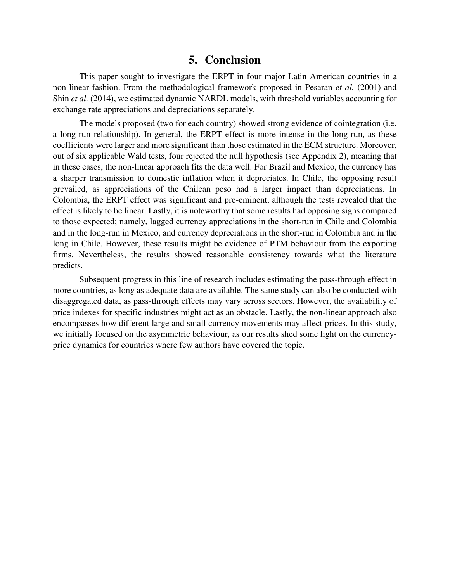## **5. Conclusion**

This paper sought to investigate the ERPT in four major Latin American countries in a non-linear fashion. From the methodological framework proposed in Pesaran *et al.* (2001) and Shin *et al.* (2014), we estimated dynamic NARDL models, with threshold variables accounting for exchange rate appreciations and depreciations separately.

The models proposed (two for each country) showed strong evidence of cointegration (i.e. a long-run relationship). In general, the ERPT effect is more intense in the long-run, as these coefficients were larger and more significant than those estimated in the ECM structure. Moreover, out of six applicable Wald tests, four rejected the null hypothesis (see Appendix 2), meaning that in these cases, the non-linear approach fits the data well. For Brazil and Mexico, the currency has a sharper transmission to domestic inflation when it depreciates. In Chile, the opposing result prevailed, as appreciations of the Chilean peso had a larger impact than depreciations. In Colombia, the ERPT effect was significant and pre-eminent, although the tests revealed that the effect is likely to be linear. Lastly, it is noteworthy that some results had opposing signs compared to those expected; namely, lagged currency appreciations in the short-run in Chile and Colombia and in the long-run in Mexico, and currency depreciations in the short-run in Colombia and in the long in Chile. However, these results might be evidence of PTM behaviour from the exporting firms. Nevertheless, the results showed reasonable consistency towards what the literature predicts.

Subsequent progress in this line of research includes estimating the pass-through effect in more countries, as long as adequate data are available. The same study can also be conducted with disaggregated data, as pass-through effects may vary across sectors. However, the availability of price indexes for specific industries might act as an obstacle. Lastly, the non-linear approach also encompasses how different large and small currency movements may affect prices. In this study, we initially focused on the asymmetric behaviour, as our results shed some light on the currencyprice dynamics for countries where few authors have covered the topic.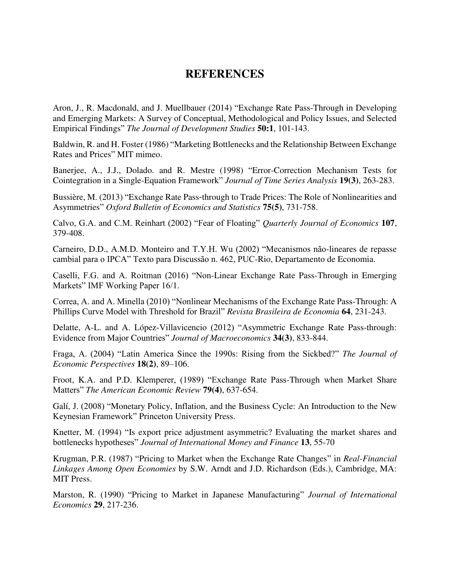# **REFERENCES**

Aron, J., R. Macdonald, and J. Muellbauer (2014) "Exchange Rate Pass-Through in Developing and Emerging Markets: A Survey of Conceptual, Methodological and Policy Issues, and Selected Empirical Findings" *The Journal of Development Studies* **50:1**, 101-143.

Baldwin, R. and H. Foster (1986) "Marketing Bottlenecks and the Relationship Between Exchange Rates and Prices" MIT mimeo.

Banerjee, A., J.J., Dolado. and R. Mestre (1998) "Error-Correction Mechanism Tests for Cointegration in a Single-Equation Framework" *Journal of Time Series Analysis* **19(3)**, 263-283.

Bussière, M. (2013) "Exchange Rate Pass-through to Trade Prices: The Role of Nonlinearities and Asymmetries" *Oxford Bulletin of Economics and Statistics* **75(5)**, 731-758.

Calvo, G.A. and C.M. Reinhart (2002) "Fear of Floating" *Quarterly Journal of Economics* **107**, 379-408.

Carneiro, D.D., A.M.D. Monteiro and T.Y.H. Wu (2002) "Mecanismos não-lineares de repasse cambial para o IPCA" Texto para Discussão n. 462, PUC-Rio, Departamento de Economia.

Caselli, F.G. and A. Roitman (2016) "Non-Linear Exchange Rate Pass-Through in Emerging Markets" IMF Working Paper 16/1.

Correa, A. and A. Minella (2010) "Nonlinear Mechanisms of the Exchange Rate Pass-Through: A Phillips Curve Model with Threshold for Brazil" *Revista Brasileira de Economia* **64**, 231-243.

Delatte, A-L. and A. López-Villavicencio (2012) "Asymmetric Exchange Rate Pass-through: Evidence from Major Countries" *Journal of Macroeconomics* **34(3)**, 833-844.

Fraga, A. (2004) "Latin America Since the 1990s: Rising from the Sickbed?" *The Journal of Economic Perspectives* **18(2)**, 89–106.

Froot, K.A. and P.D. Klemperer, (1989) "Exchange Rate Pass-Through when Market Share Matters" *The American Economic Review* **79(4)**, 637-654.

Galí, J. (2008) "Monetary Policy, Inflation, and the Business Cycle: An Introduction to the New Keynesian Framework" Princeton University Press.

Knetter, M. (1994) "Is export price adjustment asymmetric? Evaluating the market shares and bottlenecks hypotheses" *Journal of International Money and Finance* **13**, 55-70

Krugman, P.R. (1987) "Pricing to Market when the Exchange Rate Changes" in *Real-Financial Linkages Among Open Economies* by S.W. Arndt and J.D. Richardson (Eds.), Cambridge, MA: MIT Press.

Marston, R. (1990) "Pricing to Market in Japanese Manufacturing" *Journal of International Economics* **29**, 217-236.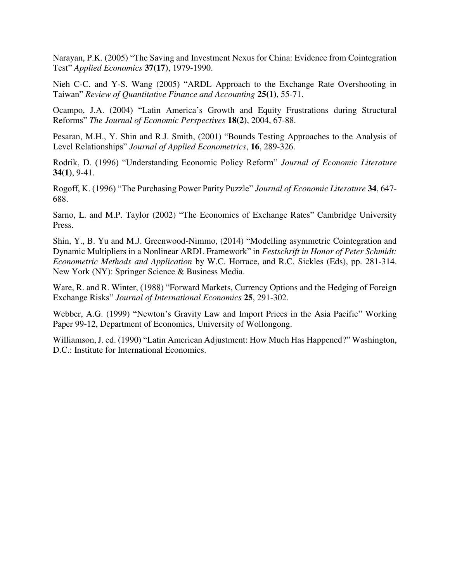Narayan, P.K. (2005) "The Saving and Investment Nexus for China: Evidence from Cointegration Test" *Applied Economics* **37(17)**, 1979-1990.

Nieh C-C. and Y-S. Wang (2005) "ARDL Approach to the Exchange Rate Overshooting in Taiwan" *Review of Quantitative Finance and Accounting* **25(1)**, 55-71.

Ocampo, J.A. (2004) "Latin America's Growth and Equity Frustrations during Structural Reforms" *The Journal of Economic Perspectives* **18(2)**, 2004, 67-88.

Pesaran, M.H., Y. Shin and R.J. Smith, (2001) "Bounds Testing Approaches to the Analysis of Level Relationships" *Journal of Applied Econometrics*, **16**, 289-326.

Rodrik, D. (1996) "Understanding Economic Policy Reform" *Journal of Economic Literature* **34(1)**, 9-41.

Rogoff, K. (1996) "The Purchasing Power Parity Puzzle" *Journal of Economic Literature* **34**, 647- 688.

Sarno, L. and M.P. Taylor (2002) "The Economics of Exchange Rates" Cambridge University Press.

Shin, Y., B. Yu and M.J. Greenwood-Nimmo, (2014) "Modelling asymmetric Cointegration and Dynamic Multipliers in a Nonlinear ARDL Framework" in *Festschrift in Honor of Peter Schmidt: Econometric Methods and Application* by W.C. Horrace, and R.C. Sickles (Eds), pp. 281-314. New York (NY): Springer Science & Business Media.

Ware, R. and R. Winter, (1988) "Forward Markets, Currency Options and the Hedging of Foreign Exchange Risks" *Journal of International Economics* **25**, 291-302.

Webber, A.G. (1999) "Newton's Gravity Law and Import Prices in the Asia Pacific" Working Paper 99-12, Department of Economics, University of Wollongong.

Williamson, J. ed. (1990) "Latin American Adjustment: How Much Has Happened?" Washington, D.C.: Institute for International Economics.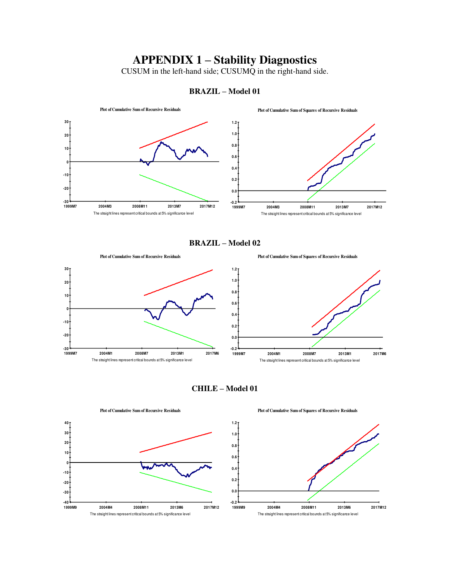# **APPENDIX 1 – Stability Diagnostics**

CUSUM in the left-hand side; CUSUMQ in the right-hand side.



#### **BRAZIL – Model 01**

**BRAZIL – Model 02** 



**CHILE – Model 01** 



**Plot of Cumulative Sum of Squares of Recursive Residuals**

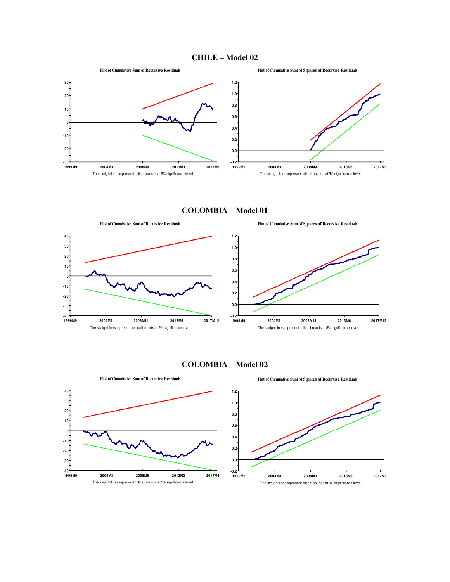



**COLOMBIA – Model 01** 



**COLOMBIA – Model 02** 



**Plot of Cumulative Sum of Recursive Residuals**

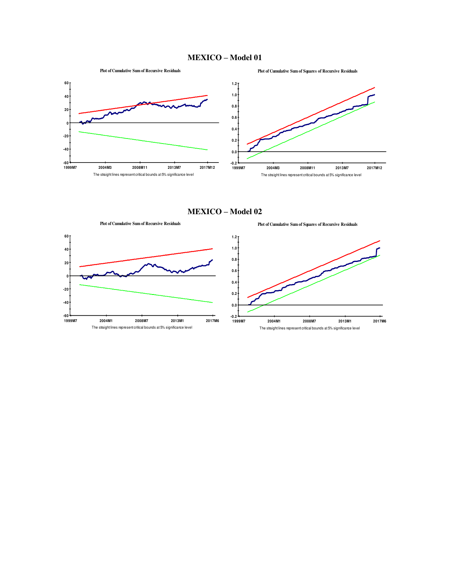#### **MEXICO – Model 01**



**MEXICO – Model 02** 

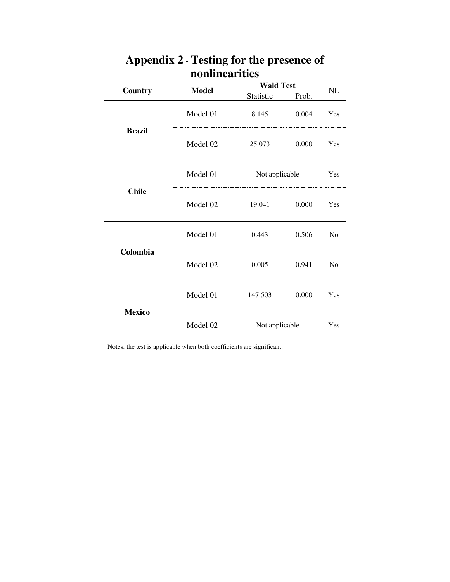|               |                            | <b>Wald Test</b> |       |     |
|---------------|----------------------------|------------------|-------|-----|
| Country       | <b>Model</b>               | Statistic        | Prob. | NL  |
|               | Model 01                   | 8.145            | 0.004 | Yes |
| <b>Brazil</b> | Model 02                   | 25.073           | 0.000 | Yes |
|               | Model 01<br>Not applicable |                  |       | Yes |
| <b>Chile</b>  | Model 02                   | 19.041           | 0.000 | Yes |
|               | Model 01                   | 0.443            | 0.506 | No  |
| Colombia      | Model 02                   | 0.005            | 0.941 | No  |
|               | Model 01                   | 147.503          | 0.000 | Yes |
| <b>Mexico</b> | Model 02                   | Not applicable   |       | Yes |

# **Appendix 2 - Testing for the presence of nonlinearities**

Notes: the test is applicable when both coefficients are significant.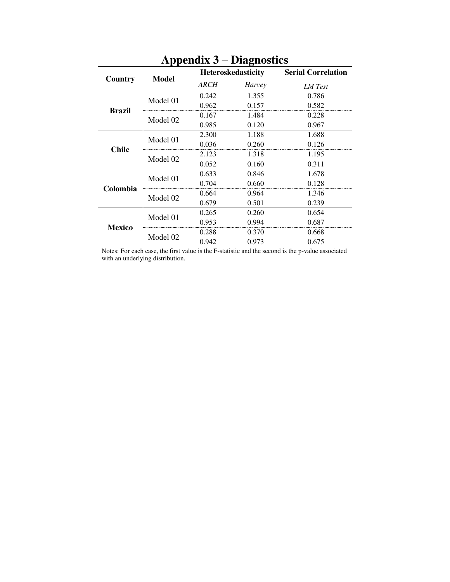|               | <b>Model</b> |       | <b>Heteroskedasticity</b> | <b>Serial Correlation</b> |  |  |
|---------------|--------------|-------|---------------------------|---------------------------|--|--|
| Country       |              | ARCH  | Harvey                    | LM Test                   |  |  |
|               | Model 01     | 0.242 | 1.355                     | 0.786                     |  |  |
|               |              | 0.962 | 0.157                     | 0.582                     |  |  |
| <b>Brazil</b> | Model 02     | 0.167 | 1.484                     | 0.228                     |  |  |
|               |              | 0.985 | 0.120                     | 0.967                     |  |  |
|               | Model 01     | 2.300 | 1.188                     | 1.688                     |  |  |
| <b>Chile</b>  |              | 0.036 | 0.260                     | 0.126                     |  |  |
|               | Model 02     | 2.123 | 1.318                     | 1.195                     |  |  |
|               |              | 0.052 | 0.160                     | 0.311                     |  |  |
|               | Model 01     | 0.633 | 0.846                     | 1.678                     |  |  |
| Colombia      |              | 0.704 | 0.660                     | 0.128                     |  |  |
|               | Model 02     | 0.664 | 0.964                     | 1.346                     |  |  |
|               |              | 0.679 | 0.501                     | 0.239                     |  |  |
|               | Model 01     | 0.265 | 0.260                     | 0.654                     |  |  |
| <b>Mexico</b> |              | 0.953 | 0.994                     | 0.687                     |  |  |
|               | Model 02     | 0.288 | 0.370                     | 0.668                     |  |  |
|               |              | 0.942 | 0.973                     | 0.675                     |  |  |

# **Appendix 3 – Diagnostics**

Notes: For each case, the first value is the F-statistic and the second is the p-value associated with an underlying distribution.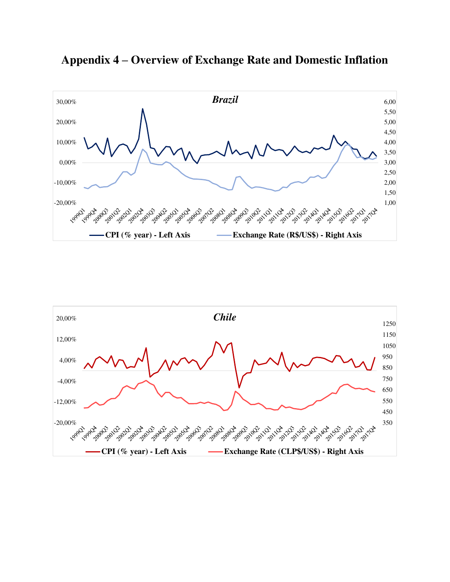

**Appendix 4 – Overview of Exchange Rate and Domestic Inflation**